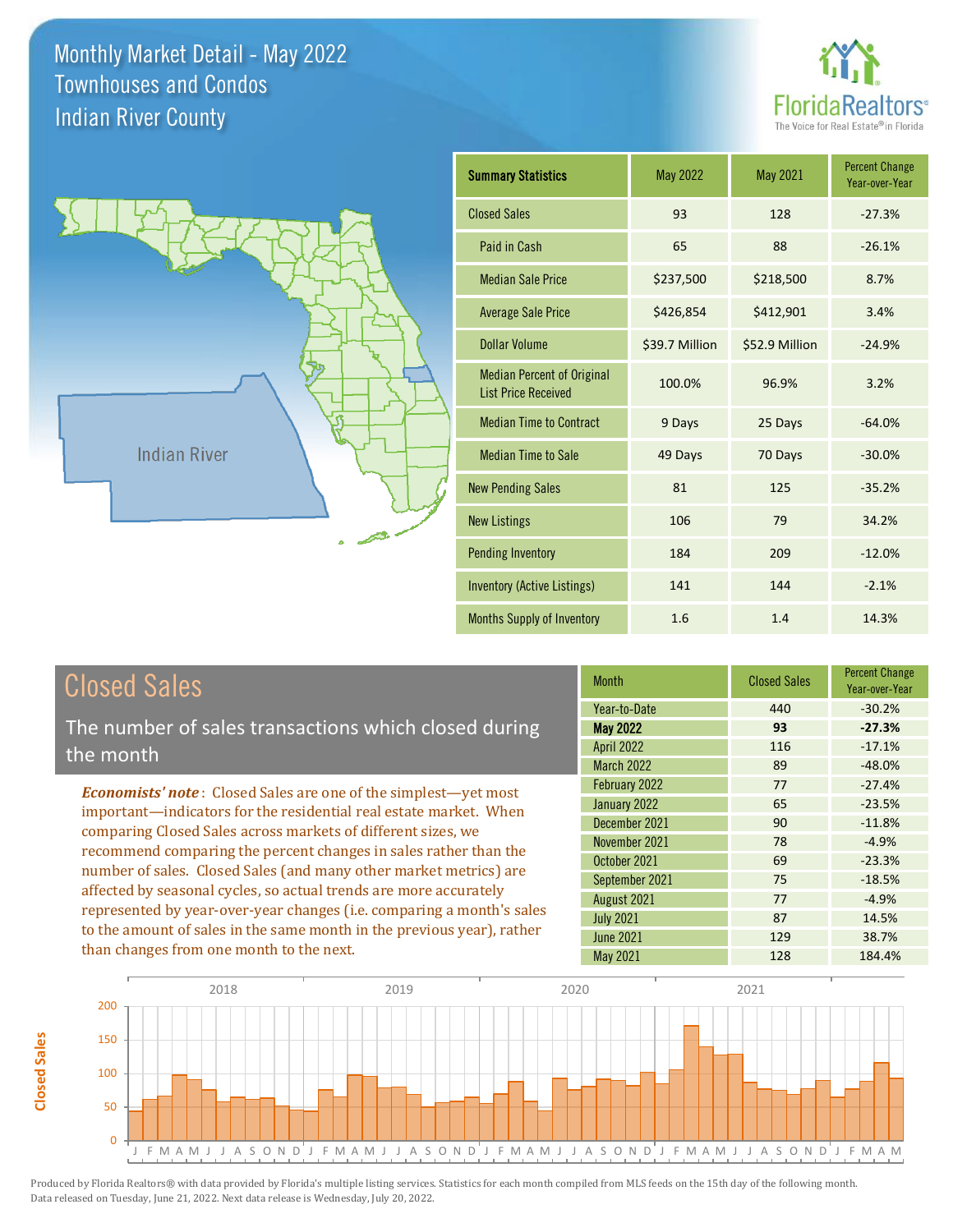



| <b>Summary Statistics</b>                                       | <b>May 2022</b> | <b>May 2021</b> | <b>Percent Change</b><br>Year-over-Year |
|-----------------------------------------------------------------|-----------------|-----------------|-----------------------------------------|
| <b>Closed Sales</b>                                             | 93              | 128             | $-27.3%$                                |
| Paid in Cash                                                    | 65              | 88              | $-26.1%$                                |
| <b>Median Sale Price</b>                                        | \$237,500       | \$218,500       | 8.7%                                    |
| <b>Average Sale Price</b>                                       | \$426,854       | \$412,901       | 3.4%                                    |
| Dollar Volume                                                   | \$39.7 Million  | \$52.9 Million  | $-24.9%$                                |
| <b>Median Percent of Original</b><br><b>List Price Received</b> | 100.0%          | 96.9%           | 3.2%                                    |
| <b>Median Time to Contract</b>                                  | 9 Days          | 25 Days         | $-64.0%$                                |
| <b>Median Time to Sale</b>                                      | 49 Days         | 70 Days         | $-30.0%$                                |
| <b>New Pending Sales</b>                                        | 81              | 125             | $-35.2%$                                |
| <b>New Listings</b>                                             | 106             | 79              | 34.2%                                   |
| <b>Pending Inventory</b>                                        | 184             | 209             | $-12.0%$                                |
| Inventory (Active Listings)                                     | 141             | 144             | $-2.1%$                                 |
| <b>Months Supply of Inventory</b>                               | 1.6             | 1.4             | 14.3%                                   |

## Closed Sales

The number of sales transactions which closed during the month

*Economists' note* : Closed Sales are one of the simplest—yet most important—indicators for the residential real estate market. When comparing Closed Sales across markets of different sizes, we recommend comparing the percent changes in sales rather than the number of sales. Closed Sales (and many other market metrics) are affected by seasonal cycles, so actual trends are more accurately represented by year-over-year changes (i.e. comparing a month's sales to the amount of sales in the same month in the previous year), rather than changes from one month to the next.

| <b>Month</b>      | <b>Closed Sales</b> | <b>Percent Change</b><br>Year-over-Year |
|-------------------|---------------------|-----------------------------------------|
| Year-to-Date      | 440                 | $-30.2%$                                |
| <b>May 2022</b>   | 93                  | $-27.3%$                                |
| <b>April 2022</b> | 116                 | $-17.1%$                                |
| <b>March 2022</b> | 89                  | $-48.0%$                                |
| February 2022     | 77                  | $-27.4%$                                |
| January 2022      | 65                  | $-23.5%$                                |
| December 2021     | 90                  | $-11.8%$                                |
| November 2021     | 78                  | $-4.9%$                                 |
| October 2021      | 69                  | $-23.3%$                                |
| September 2021    | 75                  | $-18.5%$                                |
| August 2021       | 77                  | $-4.9%$                                 |
| <b>July 2021</b>  | 87                  | 14.5%                                   |
| <b>June 2021</b>  | 129                 | 38.7%                                   |
| <b>May 2021</b>   | 128                 | 184.4%                                  |

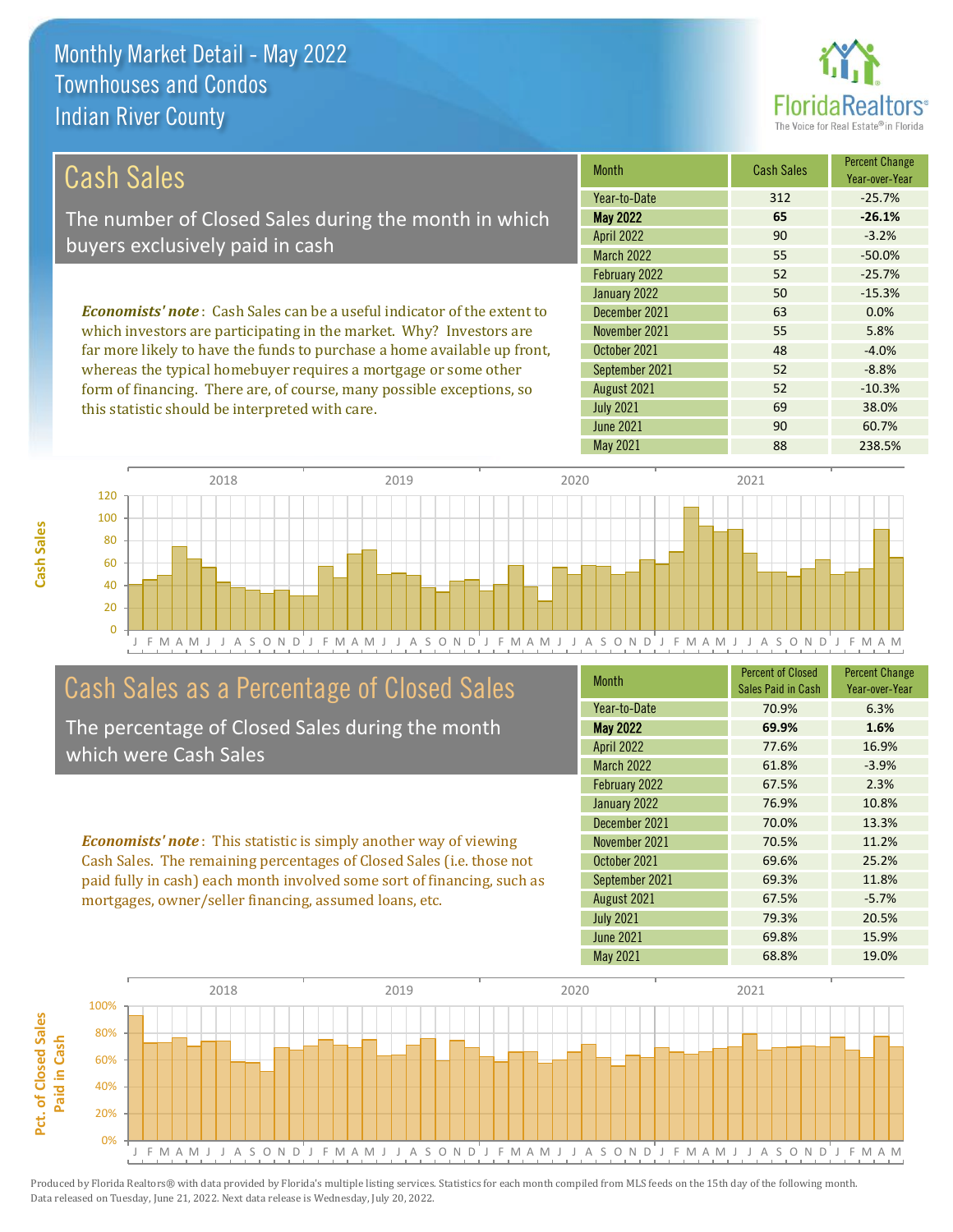

| Cash Sales                                                                                                                   | <b>Month</b>                   | <b>Cash Sales</b> | <b>Percent Change</b><br>Year-over-Year |
|------------------------------------------------------------------------------------------------------------------------------|--------------------------------|-------------------|-----------------------------------------|
|                                                                                                                              | Year-to-Date                   | 312               | $-25.7%$                                |
| The number of Closed Sales during the month in which                                                                         | <b>May 2022</b>                | 65                | $-26.1%$                                |
| buyers exclusively paid in cash                                                                                              | <b>April 2022</b>              | 90                | $-3.2%$                                 |
|                                                                                                                              | <b>March 2022</b>              | 55                | $-50.0\%$                               |
|                                                                                                                              | February 2022                  | 52                | $-25.7%$                                |
|                                                                                                                              | January 2022                   | 50                | $-15.3%$                                |
| <b>Economists' note:</b> Cash Sales can be a useful indicator of the extent to                                               | December 2021                  | 63                | 0.0%                                    |
| which investors are participating in the market. Why? Investors are                                                          | November 2021                  | 55                | 5.8%                                    |
| far more likely to have the funds to purchase a home available up front,                                                     | October 2021                   | 48                | $-4.0%$                                 |
| $\mathbf{1}$ , and a set of $\mathbf{1}$ , and a set of $\mathbf{1}$ , and a set of $\mathbf{1}$ , and a set of $\mathbf{1}$ | $0 \quad 1 \quad 1 \quad 0001$ | $-2$              | $\sim$ $\sim$ $\sim$                    |

whereas the typical homebuyer requires a mortgage or some other form of financing. There are, of course, many possible exceptions, so this statistic should be interpreted with care.

|                   |     | Year-over-Year |
|-------------------|-----|----------------|
| Year-to-Date      | 312 | $-25.7%$       |
| <b>May 2022</b>   | 65  | $-26.1%$       |
| <b>April 2022</b> | 90  | $-3.2%$        |
| <b>March 2022</b> | 55  | $-50.0%$       |
| February 2022     | 52  | $-25.7%$       |
| January 2022      | 50  | $-15.3%$       |
| December 2021     | 63  | 0.0%           |
| November 2021     | 55  | 5.8%           |
| October 2021      | 48  | $-4.0%$        |
| September 2021    | 52  | $-8.8%$        |
| August 2021       | 52  | $-10.3%$       |
| <b>July 2021</b>  | 69  | 38.0%          |
| <b>June 2021</b>  | 90  | 60.7%          |
| May 2021          | 88  | 238.5%         |



## Cash Sales as a Percentage of Closed Sales

The percentage of Closed Sales during the month which were Cash Sales

*Economists' note* : This statistic is simply another way of viewing Cash Sales. The remaining percentages of Closed Sales (i.e. those not paid fully in cash) each month involved some sort of financing, such as mortgages, owner/seller financing, assumed loans, etc.

| <b>Month</b>      | <b>Percent of Closed</b><br>Sales Paid in Cash | <b>Percent Change</b><br>Year-over-Year |
|-------------------|------------------------------------------------|-----------------------------------------|
| Year-to-Date      | 70.9%                                          | 6.3%                                    |
| <b>May 2022</b>   | 69.9%                                          | 1.6%                                    |
| <b>April 2022</b> | 77.6%                                          | 16.9%                                   |
| <b>March 2022</b> | 61.8%                                          | $-3.9%$                                 |
| February 2022     | 67.5%                                          | 2.3%                                    |
| January 2022      | 76.9%                                          | 10.8%                                   |
| December 2021     | 70.0%                                          | 13.3%                                   |
| November 2021     | 70.5%                                          | 11.2%                                   |
| October 2021      | 69.6%                                          | 25.2%                                   |
| September 2021    | 69.3%                                          | 11.8%                                   |
| August 2021       | 67.5%                                          | $-5.7%$                                 |
| <b>July 2021</b>  | 79.3%                                          | 20.5%                                   |
| <b>June 2021</b>  | 69.8%                                          | 15.9%                                   |
| <b>May 2021</b>   | 68.8%                                          | 19.0%                                   |

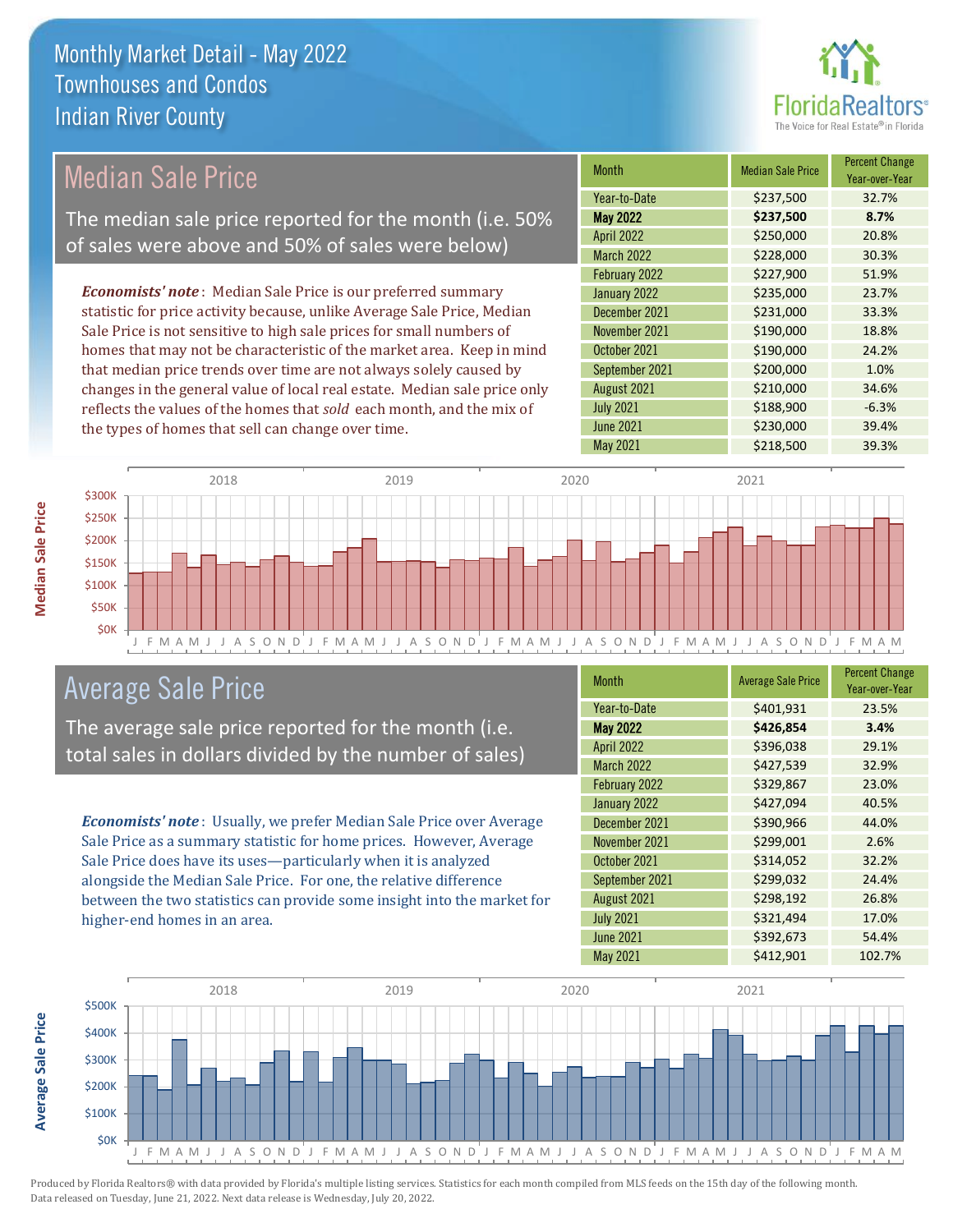

## Median Sale Price

The median sale price reported for the month (i.e. 50% of sales were above and 50% of sales were below)

*Economists' note* : Median Sale Price is our preferred summary statistic for price activity because, unlike Average Sale Price, Median Sale Price is not sensitive to high sale prices for small numbers of homes that may not be characteristic of the market area. Keep in mind that median price trends over time are not always solely caused by changes in the general value of local real estate. Median sale price only reflects the values of the homes that *sold* each month, and the mix of the types of homes that sell can change over time.

| <b>Month</b>      | <b>Median Sale Price</b> | <b>Percent Change</b><br>Year-over-Year |
|-------------------|--------------------------|-----------------------------------------|
| Year-to-Date      | \$237,500                | 32.7%                                   |
| <b>May 2022</b>   | \$237,500                | 8.7%                                    |
| <b>April 2022</b> | \$250,000                | 20.8%                                   |
| <b>March 2022</b> | \$228,000                | 30.3%                                   |
| February 2022     | \$227,900                | 51.9%                                   |
| January 2022      | \$235,000                | 23.7%                                   |
| December 2021     | \$231,000                | 33.3%                                   |
| November 2021     | \$190,000                | 18.8%                                   |
| October 2021      | \$190,000                | 24.2%                                   |
| September 2021    | \$200,000                | 1.0%                                    |
| August 2021       | \$210,000                | 34.6%                                   |
| <b>July 2021</b>  | \$188,900                | $-6.3%$                                 |
| <b>June 2021</b>  | \$230,000                | 39.4%                                   |
| <b>May 2021</b>   | \$218,500                | 39.3%                                   |



### Average Sale Price

The average sale price reported for the month (i.e. total sales in dollars divided by the number of sales)

*Economists' note* : Usually, we prefer Median Sale Price over Average Sale Price as a summary statistic for home prices. However, Average Sale Price does have its uses—particularly when it is analyzed alongside the Median Sale Price. For one, the relative difference between the two statistics can provide some insight into the market for higher-end homes in an area.

| <b>Month</b>      | <b>Average Sale Price</b> | <b>Percent Change</b><br>Year-over-Year |
|-------------------|---------------------------|-----------------------------------------|
| Year-to-Date      | \$401,931                 | 23.5%                                   |
| <b>May 2022</b>   | \$426,854                 | 3.4%                                    |
| <b>April 2022</b> | \$396,038                 | 29.1%                                   |
| <b>March 2022</b> | \$427,539                 | 32.9%                                   |
| February 2022     | \$329,867                 | 23.0%                                   |
| January 2022      | \$427,094                 | 40.5%                                   |
| December 2021     | \$390,966                 | 44.0%                                   |
| November 2021     | \$299,001                 | 2.6%                                    |
| October 2021      | \$314,052                 | 32.2%                                   |
| September 2021    | \$299,032                 | 24.4%                                   |
| August 2021       | \$298,192                 | 26.8%                                   |
| <b>July 2021</b>  | \$321,494                 | 17.0%                                   |
| <b>June 2021</b>  | \$392,673                 | 54.4%                                   |
| May 2021          | \$412,901                 | 102.7%                                  |



Produced by Florida Realtors® with data provided by Florida's multiple listing services. Statistics for each month compiled from MLS feeds on the 15th day of the following month. Data released on Tuesday, June 21, 2022. Next data release is Wednesday, July 20, 2022.

**Average Sale Price**

**Average Sale Price**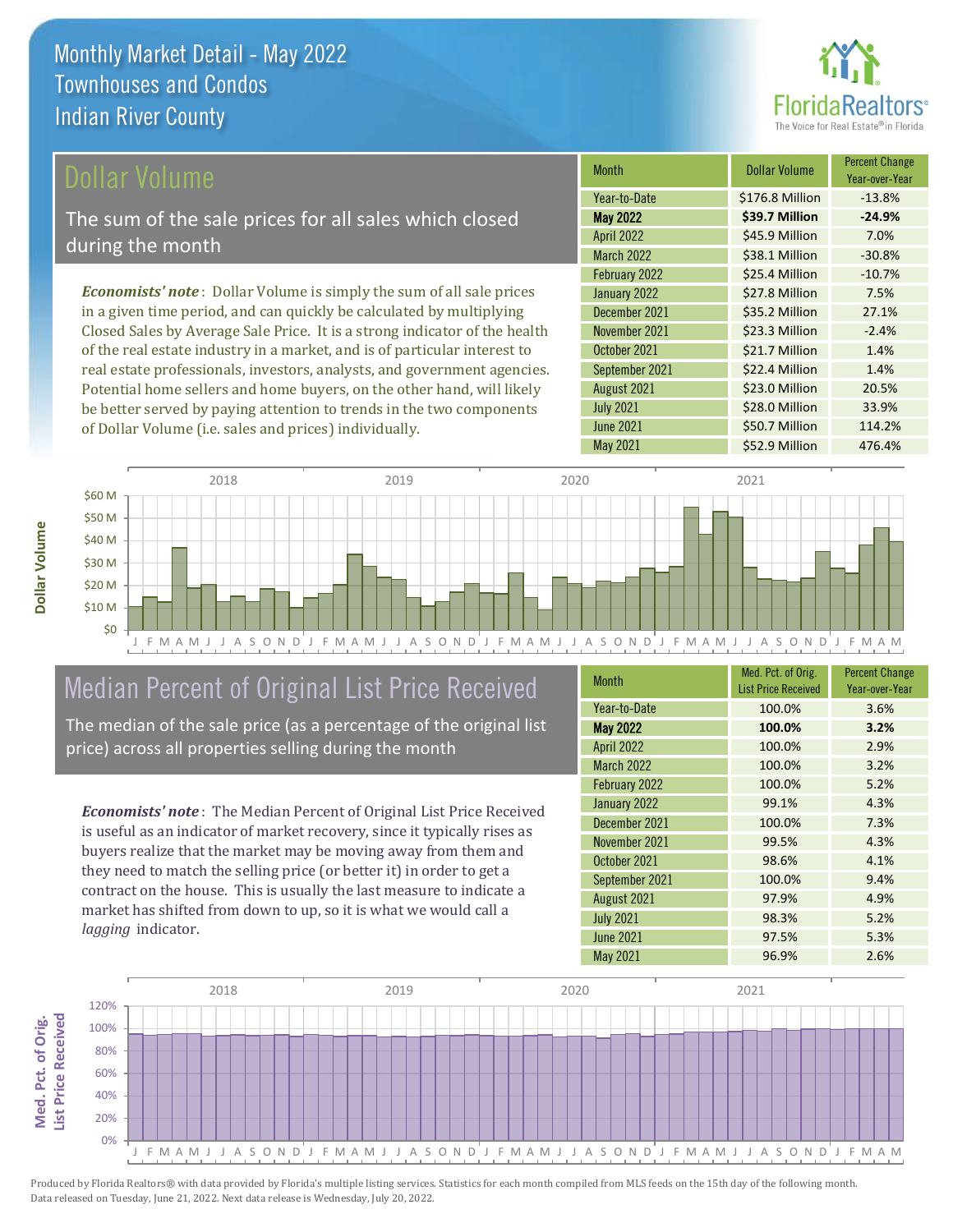

#### ollar Volume

The sum of the sale prices for all sales which closed during the month

*Economists' note* : Dollar Volume is simply the sum of all sale prices in a given time period, and can quickly be calculated by multiplying Closed Sales by Average Sale Price. It is a strong indicator of the health of the real estate industry in a market, and is of particular interest to real estate professionals, investors, analysts, and government agencies. Potential home sellers and home buyers, on the other hand, will likely be better served by paying attention to trends in the two components of Dollar Volume (i.e. sales and prices) individually.

| <b>Month</b>      | Dollar Volume   | <b>Percent Change</b><br>Year-over-Year |
|-------------------|-----------------|-----------------------------------------|
| Year-to-Date      | \$176.8 Million | $-13.8%$                                |
| <b>May 2022</b>   | \$39.7 Million  | $-24.9%$                                |
| <b>April 2022</b> | \$45.9 Million  | 7.0%                                    |
| <b>March 2022</b> | \$38.1 Million  | $-30.8%$                                |
| February 2022     | \$25.4 Million  | $-10.7%$                                |
| January 2022      | \$27.8 Million  | 7.5%                                    |
| December 2021     | \$35.2 Million  | 27.1%                                   |
| November 2021     | \$23.3 Million  | $-2.4%$                                 |
| October 2021      | \$21.7 Million  | 1.4%                                    |
| September 2021    | \$22.4 Million  | 1.4%                                    |
| August 2021       | \$23.0 Million  | 20.5%                                   |
| <b>July 2021</b>  | \$28.0 Million  | 33.9%                                   |
| <b>June 2021</b>  | \$50.7 Million  | 114.2%                                  |
| <b>May 2021</b>   | \$52.9 Million  | 476.4%                                  |



## Median Percent of Original List Price Received

The median of the sale price (as a percentage of the original list price) across all properties selling during the month

*Economists' note* : The Median Percent of Original List Price Received is useful as an indicator of market recovery, since it typically rises as buyers realize that the market may be moving away from them and they need to match the selling price (or better it) in order to get a contract on the house. This is usually the last measure to indicate a market has shifted from down to up, so it is what we would call a *lagging* indicator.

| <b>Month</b>      | Med. Pct. of Orig.<br><b>List Price Received</b> | <b>Percent Change</b><br>Year-over-Year |
|-------------------|--------------------------------------------------|-----------------------------------------|
| Year-to-Date      | 100.0%                                           | 3.6%                                    |
| <b>May 2022</b>   | 100.0%                                           | 3.2%                                    |
| <b>April 2022</b> | 100.0%                                           | 2.9%                                    |
| March 2022        | 100.0%                                           | 3.2%                                    |
| February 2022     | 100.0%                                           | 5.2%                                    |
| January 2022      | 99.1%                                            | 4.3%                                    |
| December 2021     | 100.0%                                           | 7.3%                                    |
| November 2021     | 99.5%                                            | 4.3%                                    |
| October 2021      | 98.6%                                            | 4.1%                                    |
| September 2021    | 100.0%                                           | 9.4%                                    |
| August 2021       | 97.9%                                            | 4.9%                                    |
| <b>July 2021</b>  | 98.3%                                            | 5.2%                                    |
| <b>June 2021</b>  | 97.5%                                            | 5.3%                                    |
| May 2021          | 96.9%                                            | 2.6%                                    |

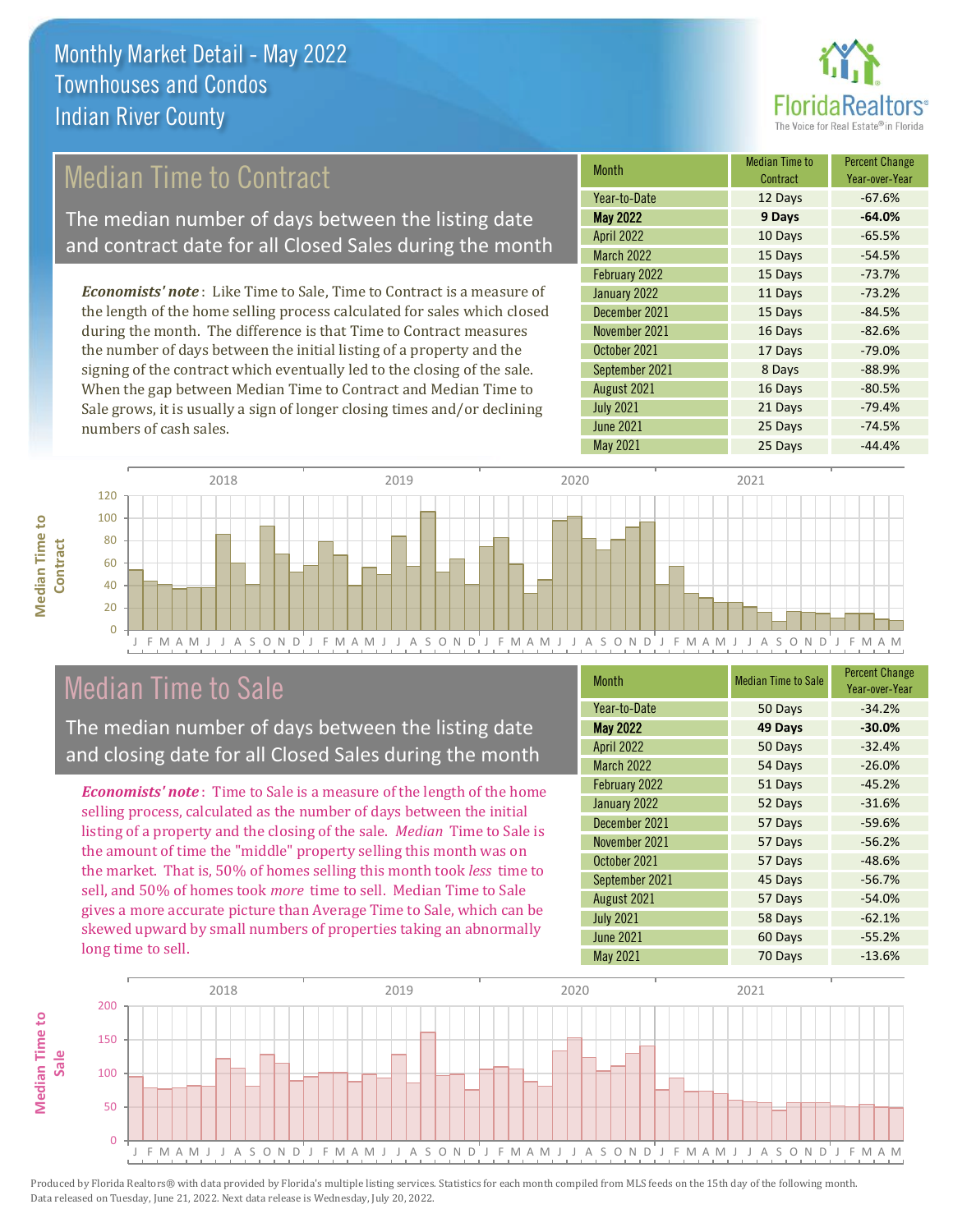

## Median Time to Contract

The median number of days between the listing date and contract date for all Closed Sales during the month

*Economists' note* : Like Time to Sale, Time to Contract is a measure of the length of the home selling process calculated for sales which closed during the month. The difference is that Time to Contract measures the number of days between the initial listing of a property and the signing of the contract which eventually led to the closing of the sale. When the gap between Median Time to Contract and Median Time to Sale grows, it is usually a sign of longer closing times and/or declining numbers of cash sales.

| <b>Month</b>      | <b>Median Time to</b><br>Contract | <b>Percent Change</b><br>Year-over-Year |
|-------------------|-----------------------------------|-----------------------------------------|
| Year-to-Date      | 12 Days                           | $-67.6%$                                |
| <b>May 2022</b>   | 9 Days                            | $-64.0%$                                |
| <b>April 2022</b> | 10 Days                           | $-65.5%$                                |
| <b>March 2022</b> | 15 Days                           | $-54.5%$                                |
| February 2022     | 15 Days                           | $-73.7%$                                |
| January 2022      | 11 Days                           | $-73.2%$                                |
| December 2021     | 15 Days                           | $-84.5%$                                |
| November 2021     | 16 Days                           | $-82.6%$                                |
| October 2021      | 17 Days                           | $-79.0%$                                |
| September 2021    | 8 Days                            | $-88.9%$                                |
| August 2021       | 16 Days                           | $-80.5%$                                |
| <b>July 2021</b>  | 21 Days                           | $-79.4%$                                |
| <b>June 2021</b>  | 25 Days                           | $-74.5%$                                |
| <b>May 2021</b>   | 25 Days                           | $-44.4%$                                |



### Median Time to Sale

**Median Time to Contract**

**Median Time to** 

The median number of days between the listing date and closing date for all Closed Sales during the month

*Economists' note* : Time to Sale is a measure of the length of the home selling process, calculated as the number of days between the initial listing of a property and the closing of the sale. *Median* Time to Sale is the amount of time the "middle" property selling this month was on the market. That is, 50% of homes selling this month took *less* time to sell, and 50% of homes took *more* time to sell. Median Time to Sale gives a more accurate picture than Average Time to Sale, which can be skewed upward by small numbers of properties taking an abnormally long time to sell.

| Month             | <b>Median Time to Sale</b> | <b>Percent Change</b><br>Year-over-Year |
|-------------------|----------------------------|-----------------------------------------|
| Year-to-Date      | 50 Days                    | $-34.2%$                                |
| <b>May 2022</b>   | 49 Days                    | $-30.0%$                                |
| <b>April 2022</b> | 50 Days                    | $-32.4%$                                |
| <b>March 2022</b> | 54 Days                    | $-26.0%$                                |
| February 2022     | 51 Days                    | $-45.2%$                                |
| January 2022      | 52 Days                    | $-31.6%$                                |
| December 2021     | 57 Days                    | $-59.6%$                                |
| November 2021     | 57 Days                    | $-56.2%$                                |
| October 2021      | 57 Days                    | $-48.6%$                                |
| September 2021    | 45 Days                    | $-56.7%$                                |
| August 2021       | 57 Days                    | $-54.0%$                                |
| <b>July 2021</b>  | 58 Days                    | $-62.1%$                                |
| <b>June 2021</b>  | 60 Days                    | $-55.2%$                                |
| May 2021          | 70 Days                    | $-13.6%$                                |

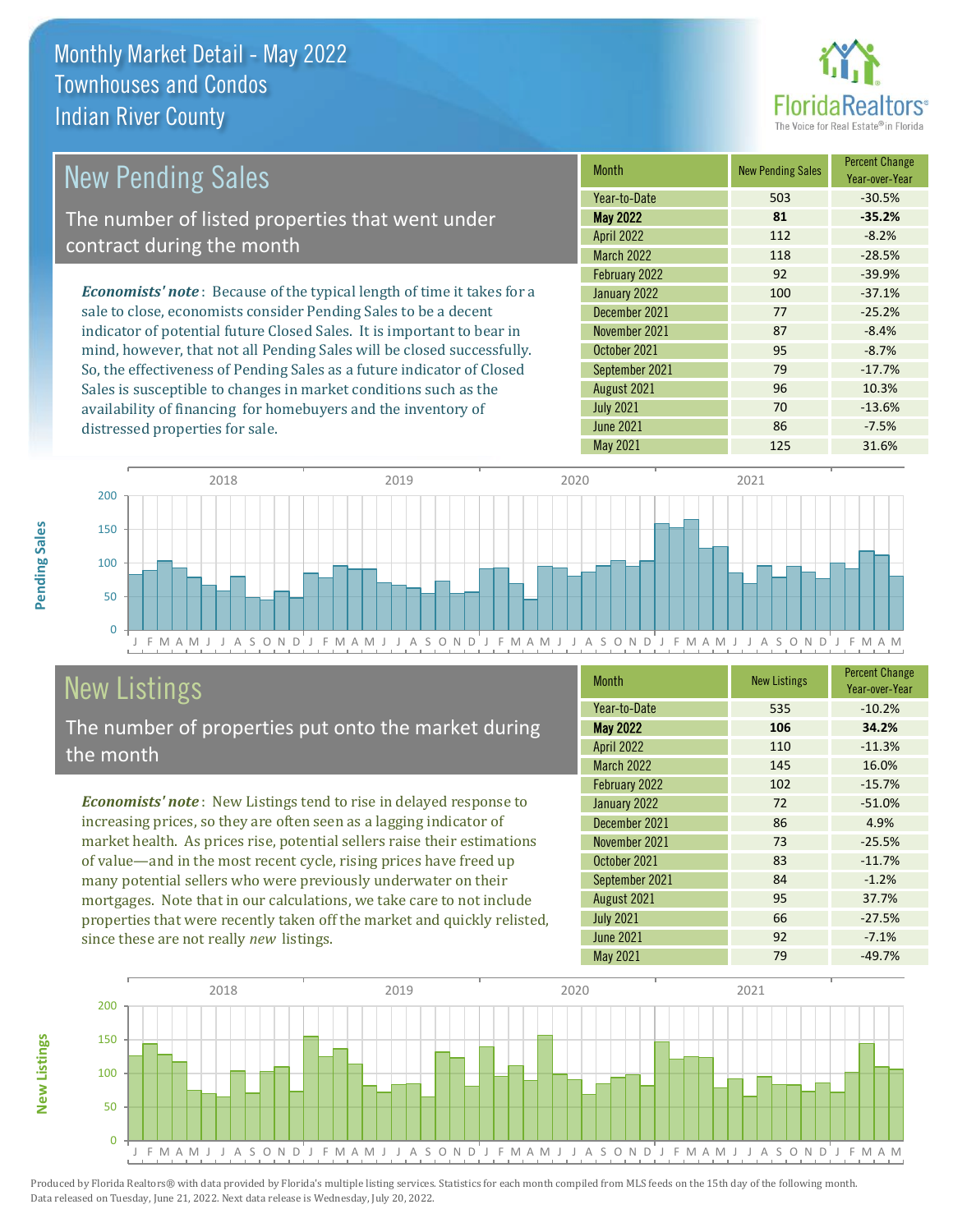distressed properties for sale.



| <b>New Pending Sales</b>                                                       | <b>Month</b>      | <b>New Pending Sales</b> | <b>Percent Change</b><br>Year-over-Year |
|--------------------------------------------------------------------------------|-------------------|--------------------------|-----------------------------------------|
|                                                                                | Year-to-Date      | 503                      | $-30.5%$                                |
| The number of listed properties that went under                                | <b>May 2022</b>   | 81                       | $-35.2%$                                |
| contract during the month                                                      | <b>April 2022</b> | 112                      | $-8.2%$                                 |
|                                                                                | <b>March 2022</b> | 118                      | $-28.5%$                                |
|                                                                                | February 2022     | 92                       | $-39.9%$                                |
| <b>Economists' note</b> : Because of the typical length of time it takes for a | January 2022      | 100                      | $-37.1%$                                |
| sale to close, economists consider Pending Sales to be a decent                | December 2021     | 77                       | $-25.2%$                                |
| indicator of potential future Closed Sales. It is important to bear in         | November 2021     | 87                       | $-8.4%$                                 |
| mind, however, that not all Pending Sales will be closed successfully.         | October 2021      | 95                       | $-8.7%$                                 |
| So, the effectiveness of Pending Sales as a future indicator of Closed         | September 2021    | 79                       | $-17.7%$                                |
| Sales is susceptible to changes in market conditions such as the               | August 2021       | 96                       | 10.3%                                   |



## New Listings

The number of properties put onto the market during the month

availability of financing for homebuyers and the inventory of

*Economists' note* : New Listings tend to rise in delayed response to increasing prices, so they are often seen as a lagging indicator of market health. As prices rise, potential sellers raise their estimations of value—and in the most recent cycle, rising prices have freed up many potential sellers who were previously underwater on their mortgages. Note that in our calculations, we take care to not include properties that were recently taken off the market and quickly relisted, since these are not really *new* listings.

| <b>Month</b>      | <b>New Listings</b> | <b>Percent Change</b><br>Year-over-Year |
|-------------------|---------------------|-----------------------------------------|
| Year-to-Date      | 535                 | $-10.2%$                                |
| <b>May 2022</b>   | 106                 | 34.2%                                   |
| <b>April 2022</b> | 110                 | $-11.3%$                                |
| <b>March 2022</b> | 145                 | 16.0%                                   |
| February 2022     | 102                 | $-15.7%$                                |
| January 2022      | 72                  | $-51.0%$                                |
| December 2021     | 86                  | 4.9%                                    |
| November 2021     | 73                  | $-25.5%$                                |
| October 2021      | 83                  | $-11.7%$                                |
| September 2021    | 84                  | $-1.2%$                                 |
| August 2021       | 95                  | 37.7%                                   |
| <b>July 2021</b>  | 66                  | $-27.5%$                                |
| <b>June 2021</b>  | 92                  | $-7.1%$                                 |
| <b>May 2021</b>   | 79                  | $-49.7%$                                |

July 2021 **70** -13.6% June 2021 **86** -7.5%



Produced by Florida Realtors® with data provided by Florida's multiple listing services. Statistics for each month compiled from MLS feeds on the 15th day of the following month. Data released on Tuesday, June 21, 2022. Next data release is Wednesday, July 20, 2022.

**New Listings**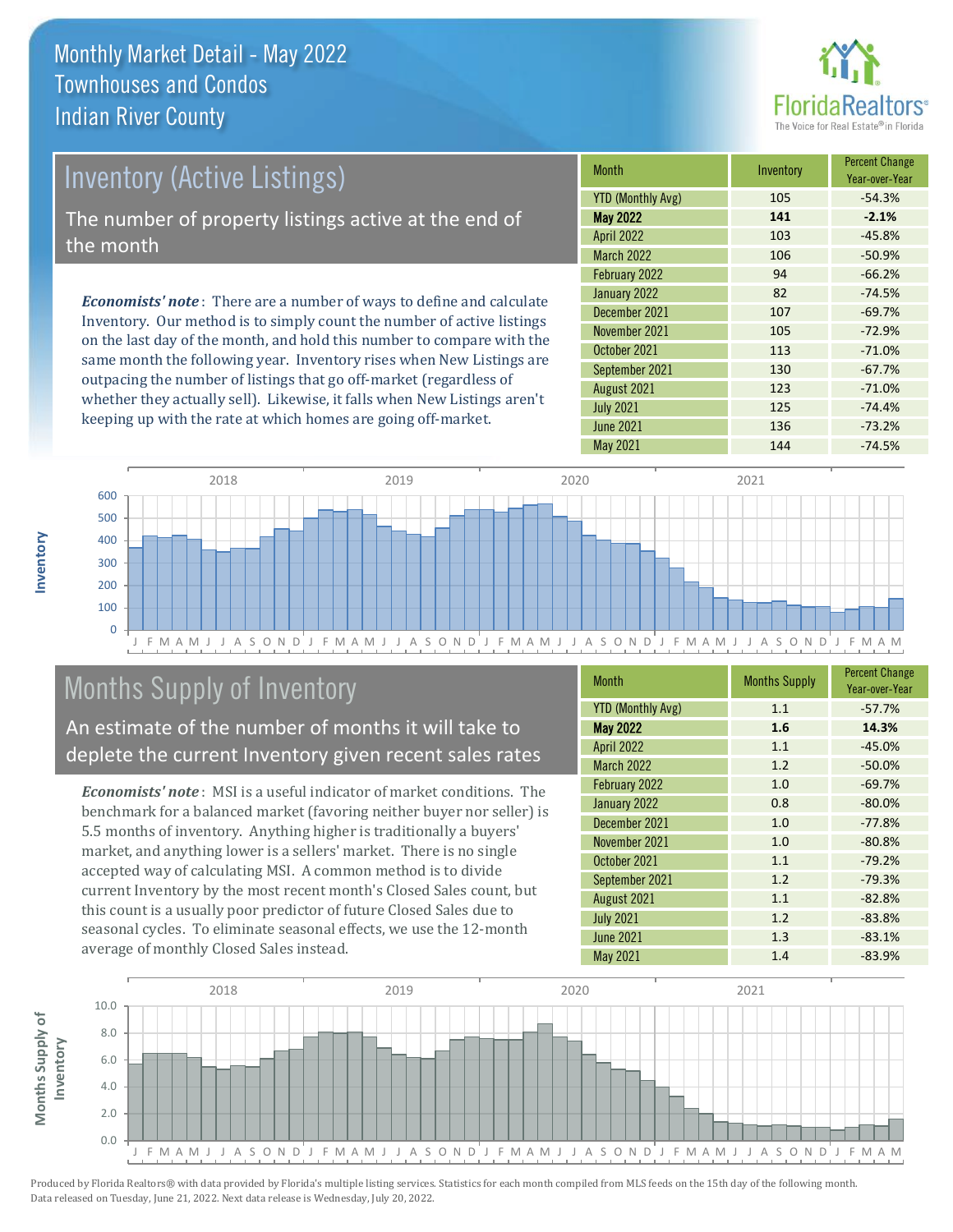

# Inventory (Active Listings)

The number of property listings active at the end of the month

*Economists' note* : There are a number of ways to define and calculate Inventory. Our method is to simply count the number of active listings on the last day of the month, and hold this number to compare with the same month the following year. Inventory rises when New Listings are outpacing the number of listings that go off-market (regardless of whether they actually sell). Likewise, it falls when New Listings aren't keeping up with the rate at which homes are going off-market.

| <b>Month</b>             | Inventory | <b>Percent Change</b><br>Year-over-Year |
|--------------------------|-----------|-----------------------------------------|
| <b>YTD (Monthly Avg)</b> | 105       | $-54.3%$                                |
| <b>May 2022</b>          | 141       | $-2.1%$                                 |
| <b>April 2022</b>        | 103       | $-45.8%$                                |
| <b>March 2022</b>        | 106       | $-50.9%$                                |
| February 2022            | 94        | $-66.2%$                                |
| January 2022             | 82        | $-74.5%$                                |
| December 2021            | 107       | $-69.7%$                                |
| November 2021            | 105       | $-72.9%$                                |
| October 2021             | 113       | $-71.0%$                                |
| September 2021           | 130       | $-67.7%$                                |
| August 2021              | 123       | $-71.0%$                                |
| <b>July 2021</b>         | 125       | $-74.4%$                                |
| <b>June 2021</b>         | 136       | $-73.2%$                                |
| May 2021                 | 144       | $-74.5%$                                |



## Months Supply of Inventory

An estimate of the number of months it will take to deplete the current Inventory given recent sales rates

*Economists' note* : MSI is a useful indicator of market conditions. The benchmark for a balanced market (favoring neither buyer nor seller) is 5.5 months of inventory. Anything higher is traditionally a buyers' market, and anything lower is a sellers' market. There is no single accepted way of calculating MSI. A common method is to divide current Inventory by the most recent month's Closed Sales count, but this count is a usually poor predictor of future Closed Sales due to seasonal cycles. To eliminate seasonal effects, we use the 12-month average of monthly Closed Sales instead.

| <b>Month</b>             | <b>Months Supply</b> | <b>Percent Change</b><br>Year-over-Year |
|--------------------------|----------------------|-----------------------------------------|
| <b>YTD (Monthly Avg)</b> | 1.1                  | $-57.7%$                                |
| <b>May 2022</b>          | 1.6                  | 14.3%                                   |
| <b>April 2022</b>        | 1.1                  | $-45.0%$                                |
| <b>March 2022</b>        | 1.2                  | $-50.0%$                                |
| February 2022            | 1.0                  | $-69.7%$                                |
| January 2022             | 0.8                  | $-80.0%$                                |
| December 2021            | 1.0                  | $-77.8%$                                |
| November 2021            | 1.0                  | $-80.8%$                                |
| October 2021             | 1.1                  | $-79.2%$                                |
| September 2021           | 1.2                  | $-79.3%$                                |
| August 2021              | 1.1                  | $-82.8%$                                |
| <b>July 2021</b>         | 1.2                  | $-83.8%$                                |
| <b>June 2021</b>         | 1.3                  | $-83.1%$                                |
| <b>May 2021</b>          | 1.4                  | $-83.9%$                                |

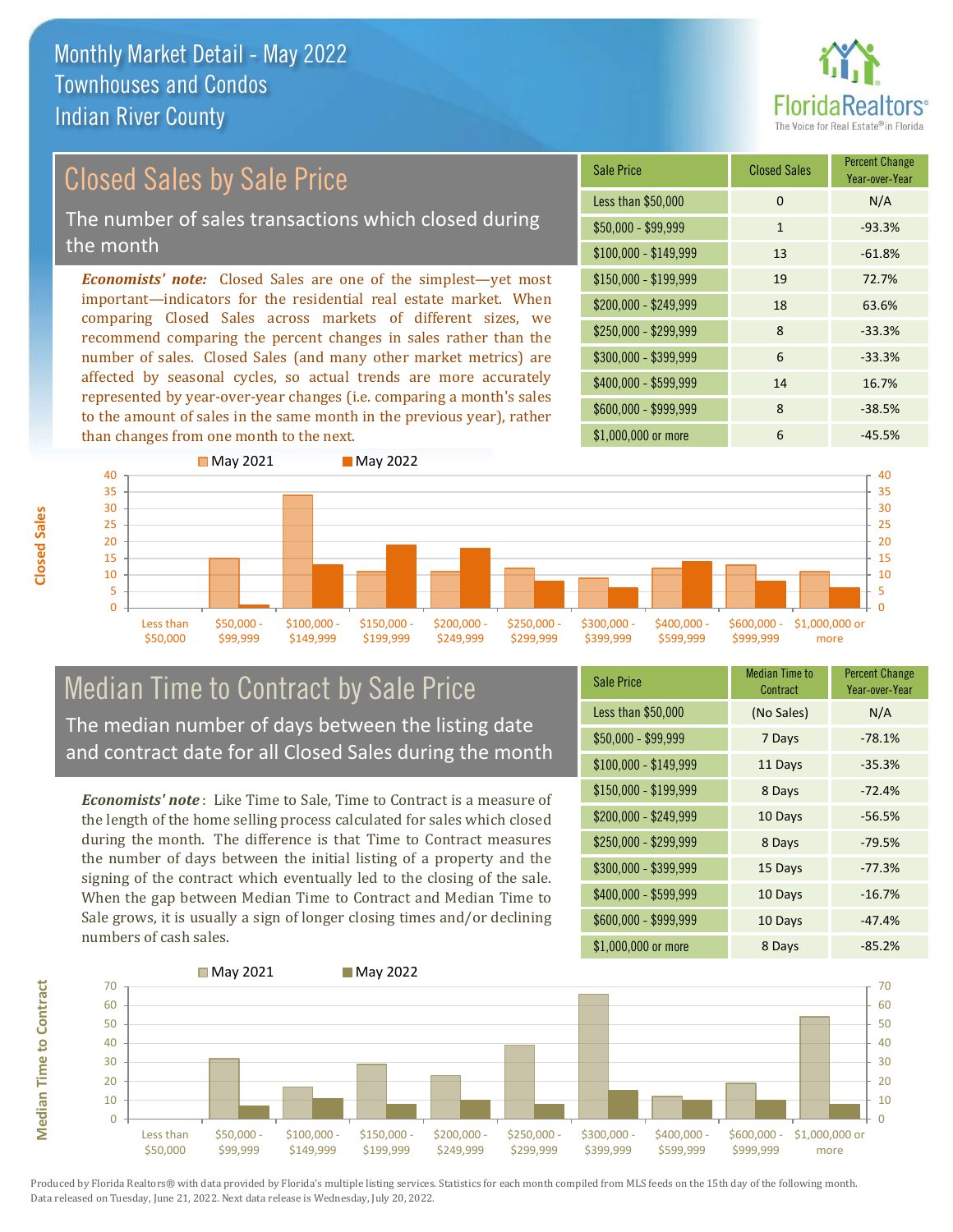

## Closed Sales by Sale Price

The number of sales transactions which closed during the month

*Economists' note:* Closed Sales are one of the simplest—yet most important—indicators for the residential real estate market. When comparing Closed Sales across markets of different sizes, we recommend comparing the percent changes in sales rather than the number of sales. Closed Sales (and many other market metrics) are affected by seasonal cycles, so actual trends are more accurately represented by year-over-year changes (i.e. comparing a month's sales to the amount of sales in the same month in the previous year), rather than changes from one month to the next.





## Median Time to Contract by Sale Price and contract date for all Closed Sales during the month

*Economists' note* : Like Time to Sale, Time to Contract is a measure of the length of the home selling process calculated for sales which closed during the month. The difference is that Time to Contract measures the number of days between the initial listing of a property and the signing of the contract which eventually led to the closing of the sale. When the gap between Median Time to Contract and Median Time to Sale grows, it is usually a sign of longer closing times and/or declining numbers of cash sales.

| <b>Sale Price</b>     | <b>Median Time to</b><br>Contract | <b>Percent Change</b><br>Year-over-Year |
|-----------------------|-----------------------------------|-----------------------------------------|
| Less than \$50,000    | (No Sales)                        | N/A                                     |
| $$50,000 - $99,999$   | 7 Days                            | $-78.1%$                                |
| $$100,000 - $149,999$ | 11 Days                           | $-35.3%$                                |
| $$150,000 - $199,999$ | 8 Days                            | $-72.4%$                                |
| \$200,000 - \$249,999 | 10 Days                           | $-56.5%$                                |
| \$250,000 - \$299,999 | 8 Days                            | $-79.5%$                                |
| \$300,000 - \$399,999 | 15 Days                           | $-77.3%$                                |
| \$400,000 - \$599,999 | 10 Days                           | $-16.7%$                                |
| \$600,000 - \$999,999 | 10 Days                           | $-47.4%$                                |
| \$1,000,000 or more   | 8 Days                            | $-85.2%$                                |



**Closed Sales**

**Median Time to Contract**

**Median Time to Contract** 

The median number of days between the listing date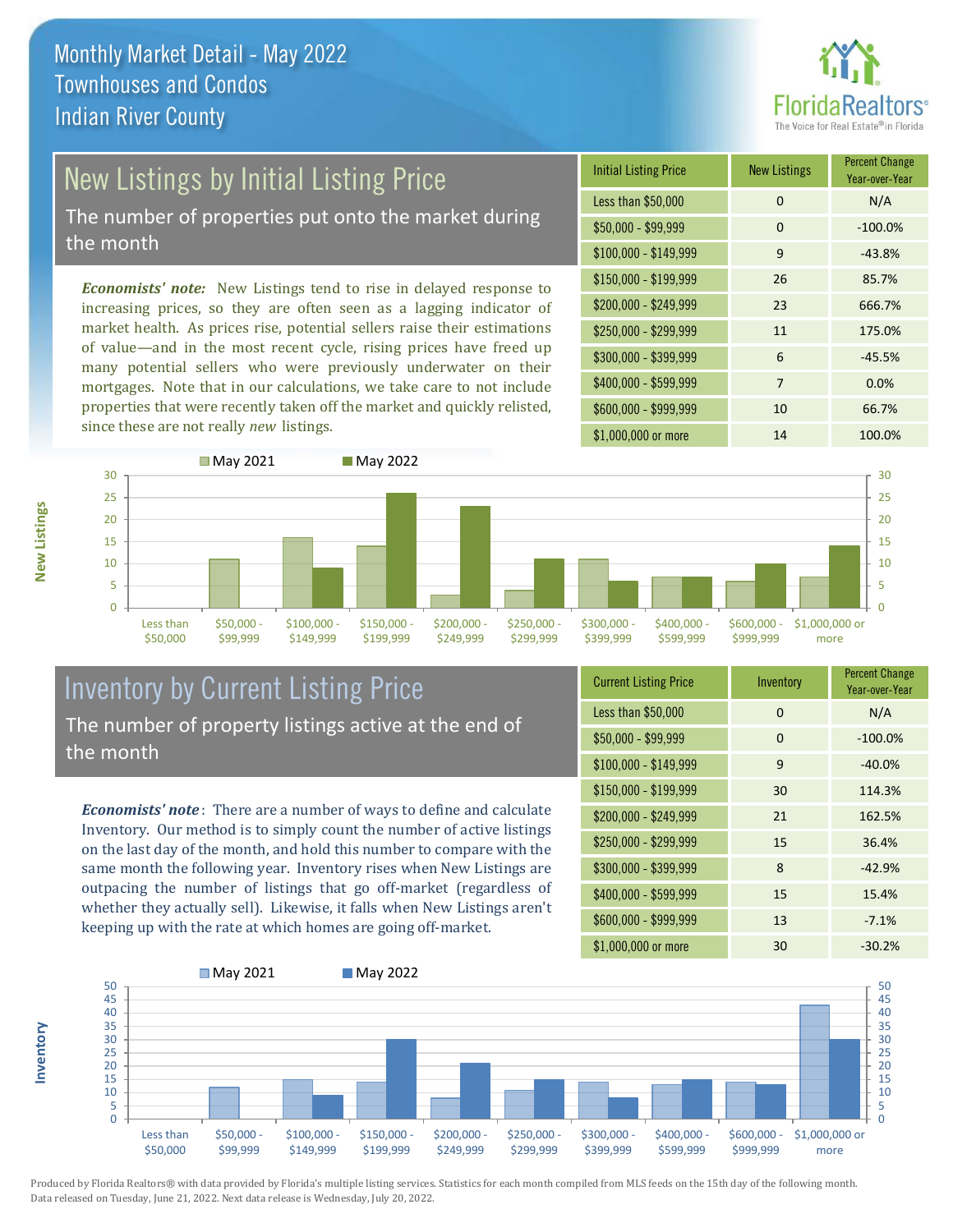

## New Listings by Initial Listing Price

The number of properties put onto the market during the month

*Economists' note:* New Listings tend to rise in delayed response to increasing prices, so they are often seen as a lagging indicator of market health. As prices rise, potential sellers raise their estimations of value—and in the most recent cycle, rising prices have freed up many potential sellers who were previously underwater on their mortgages. Note that in our calculations, we take care to not include properties that were recently taken off the market and quickly relisted, since these are not really *new* listings.





#### Inventory by Current Listing Price The number of property listings active at the end of the month

*Economists' note* : There are a number of ways to define and calculate Inventory. Our method is to simply count the number of active listings on the last day of the month, and hold this number to compare with the same month the following year. Inventory rises when New Listings are outpacing the number of listings that go off-market (regardless of whether they actually sell). Likewise, it falls when New Listings aren't keeping up with the rate at which homes are going off-market.

| <b>Current Listing Price</b> | Inventory | <b>Percent Change</b><br>Year-over-Year |
|------------------------------|-----------|-----------------------------------------|
| Less than \$50,000           | 0         | N/A                                     |
| $$50,000 - $99,999$          | 0         | $-100.0%$                               |
| $$100,000 - $149,999$        | 9         | $-40.0%$                                |
| $$150,000 - $199,999$        | 30        | 114.3%                                  |
| \$200,000 - \$249,999        | 21        | 162.5%                                  |
| \$250,000 - \$299,999        | 15        | 36.4%                                   |
| \$300,000 - \$399,999        | 8         | $-42.9%$                                |
| \$400,000 - \$599,999        | 15        | 15.4%                                   |
| \$600,000 - \$999,999        | 13        | $-7.1%$                                 |
| \$1,000,000 or more          | 30        | $-30.2%$                                |



Produced by Florida Realtors® with data provided by Florida's multiple listing services. Statistics for each month compiled from MLS feeds on the 15th day of the following month. Data released on Tuesday, June 21, 2022. Next data release is Wednesday, July 20, 2022.

**Inventory**